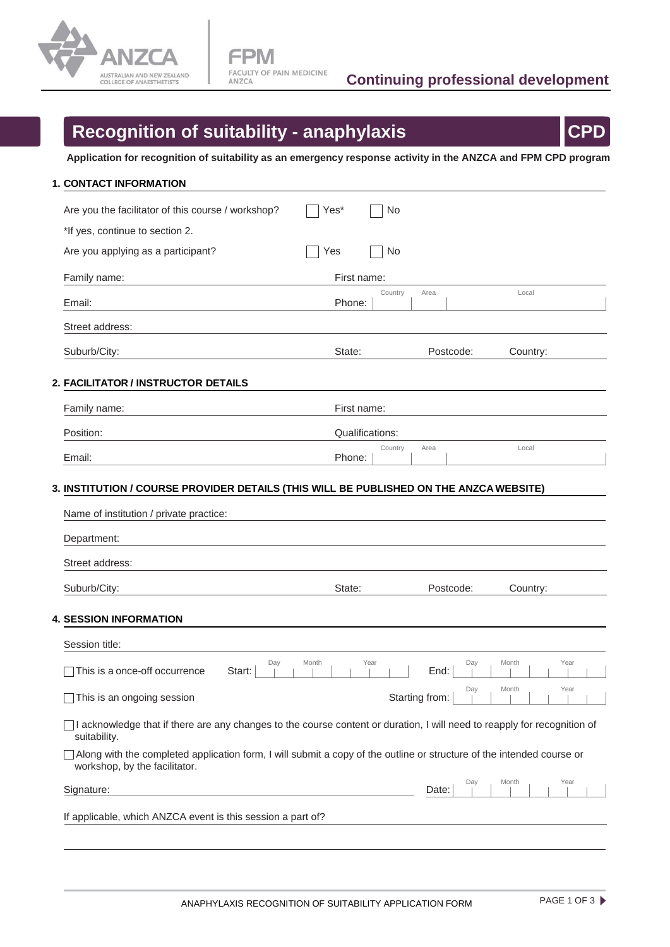

## **Recognition of suitability - anaphylaxis CPD**

**Application for recognition of suitability as an emergency response activity in the ANZCA and FPM CPD program**

| 1. CONTACT INFORMATION                                                                                                                                     |                 |                |              |          |      |
|------------------------------------------------------------------------------------------------------------------------------------------------------------|-----------------|----------------|--------------|----------|------|
| Are you the facilitator of this course / workshop?                                                                                                         | Yes*            | No             |              |          |      |
| *If yes, continue to section 2.                                                                                                                            |                 |                |              |          |      |
| Are you applying as a participant?                                                                                                                         | Yes             | No             |              |          |      |
| Family name:                                                                                                                                               | First name:     |                |              |          |      |
| Email:                                                                                                                                                     | Phone:          | Country        | Area         | Local    |      |
| Street address:                                                                                                                                            |                 |                |              |          |      |
| Suburb/City:                                                                                                                                               | State:          |                | Postcode:    | Country: |      |
| 2. FACILITATOR / INSTRUCTOR DETAILS                                                                                                                        |                 |                |              |          |      |
| Family name:                                                                                                                                               | First name:     |                |              |          |      |
| Position:                                                                                                                                                  | Qualifications: |                |              |          |      |
|                                                                                                                                                            |                 | Country        | Area         | Local    |      |
| Email:<br>3. INSTITUTION / COURSE PROVIDER DETAILS (THIS WILL BE PUBLISHED ON THE ANZCA WEBSITE)<br>Name of institution / private practice:<br>Department: | Phone:          |                |              |          |      |
| Street address:                                                                                                                                            |                 |                |              |          |      |
| Suburb/City:                                                                                                                                               | State:          |                | Postcode:    | Country: |      |
| <b>4. SESSION INFORMATION</b>                                                                                                                              |                 |                |              |          |      |
| Session title:                                                                                                                                             |                 |                |              |          |      |
| Day<br>This is a once-off occurrence<br>Start:                                                                                                             | Month<br>Year   |                | Day<br>End:  | Month    | Year |
| This is an ongoing session                                                                                                                                 |                 | Starting from: | Day          | Month    | Year |
| I acknowledge that if there are any changes to the course content or duration, I will need to reapply for recognition of<br>suitability.                   |                 |                |              |          |      |
| Along with the completed application form, I will submit a copy of the outline or structure of the intended course or<br>workshop, by the facilitator.     |                 |                |              |          |      |
| Signature:                                                                                                                                                 |                 |                | Day<br>Date: | Month    | Year |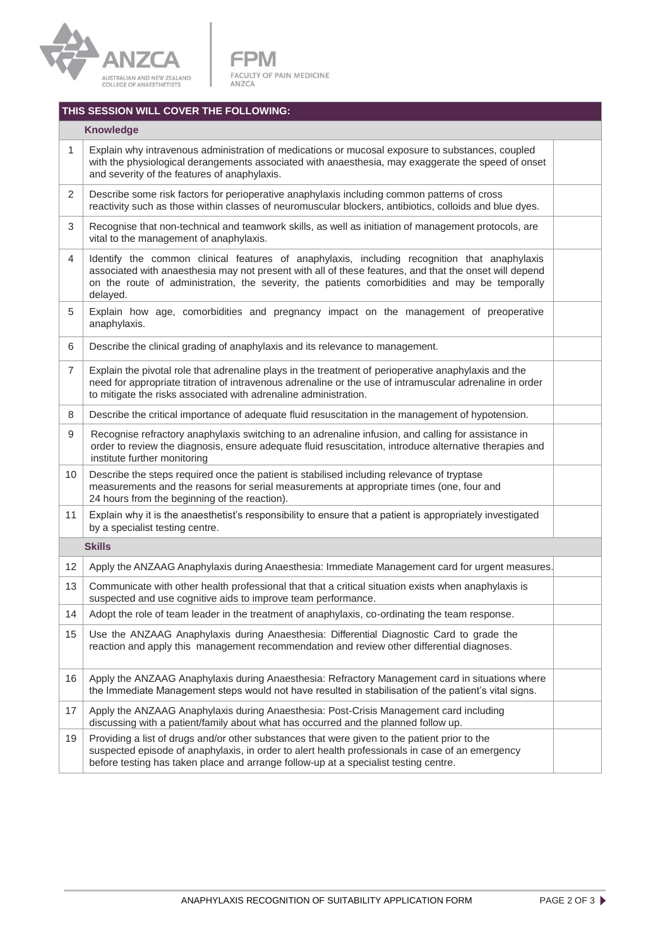

**FPM** FACULTY OF PAIN MEDICINE<br>ANZCA

## **THIS SESSION WILL COVER THE FOLLOWING:**

| <b>Knowledge</b> |                                   |  |  |  |
|------------------|-----------------------------------|--|--|--|
|                  | Explain why intravenous admi<br>. |  |  |  |

| 1               | Explain why intravenous administration of medications or mucosal exposure to substances, coupled<br>with the physiological derangements associated with anaesthesia, may exaggerate the speed of onset<br>and severity of the features of anaphylaxis.                                                               |  |  |  |  |
|-----------------|----------------------------------------------------------------------------------------------------------------------------------------------------------------------------------------------------------------------------------------------------------------------------------------------------------------------|--|--|--|--|
| 2               | Describe some risk factors for perioperative anaphylaxis including common patterns of cross<br>reactivity such as those within classes of neuromuscular blockers, antibiotics, colloids and blue dyes.                                                                                                               |  |  |  |  |
| 3               | Recognise that non-technical and teamwork skills, as well as initiation of management protocols, are<br>vital to the management of anaphylaxis.                                                                                                                                                                      |  |  |  |  |
| 4               | Identify the common clinical features of anaphylaxis, including recognition that anaphylaxis<br>associated with anaesthesia may not present with all of these features, and that the onset will depend<br>on the route of administration, the severity, the patients comorbidities and may be temporally<br>delayed. |  |  |  |  |
| 5               | Explain how age, comorbidities and pregnancy impact on the management of preoperative<br>anaphylaxis.                                                                                                                                                                                                                |  |  |  |  |
| 6               | Describe the clinical grading of anaphylaxis and its relevance to management.                                                                                                                                                                                                                                        |  |  |  |  |
| $\overline{7}$  | Explain the pivotal role that adrenaline plays in the treatment of perioperative anaphylaxis and the<br>need for appropriate titration of intravenous adrenaline or the use of intramuscular adrenaline in order<br>to mitigate the risks associated with adrenaline administration.                                 |  |  |  |  |
| 8               | Describe the critical importance of adequate fluid resuscitation in the management of hypotension.                                                                                                                                                                                                                   |  |  |  |  |
| 9               | Recognise refractory anaphylaxis switching to an adrenaline infusion, and calling for assistance in<br>order to review the diagnosis, ensure adequate fluid resuscitation, introduce alternative therapies and<br>institute further monitoring                                                                       |  |  |  |  |
| 10              | Describe the steps required once the patient is stabilised including relevance of tryptase<br>measurements and the reasons for serial measurements at appropriate times (one, four and<br>24 hours from the beginning of the reaction).                                                                              |  |  |  |  |
| 11              | Explain why it is the anaesthetist's responsibility to ensure that a patient is appropriately investigated<br>by a specialist testing centre.                                                                                                                                                                        |  |  |  |  |
|                 | <b>Skills</b>                                                                                                                                                                                                                                                                                                        |  |  |  |  |
| 12 <sup>2</sup> | Apply the ANZAAG Anaphylaxis during Anaesthesia: Immediate Management card for urgent measures.                                                                                                                                                                                                                      |  |  |  |  |
| 13              | Communicate with other health professional that that a critical situation exists when anaphylaxis is<br>suspected and use cognitive aids to improve team performance.                                                                                                                                                |  |  |  |  |
| 14              | Adopt the role of team leader in the treatment of anaphylaxis, co-ordinating the team response.                                                                                                                                                                                                                      |  |  |  |  |
| 15              | Use the ANZAAG Anaphylaxis during Anaesthesia: Differential Diagnostic Card to grade the<br>reaction and apply this management recommendation and review other differential diagnoses.                                                                                                                               |  |  |  |  |
| 16              | Apply the ANZAAG Anaphylaxis during Anaesthesia: Refractory Management card in situations where<br>the Immediate Management steps would not have resulted in stabilisation of the patient's vital signs.                                                                                                             |  |  |  |  |
| 17              | Apply the ANZAAG Anaphylaxis during Anaesthesia: Post-Crisis Management card including<br>discussing with a patient/family about what has occurred and the planned follow up.                                                                                                                                        |  |  |  |  |
| 19              | Providing a list of drugs and/or other substances that were given to the patient prior to the<br>suspected episode of anaphylaxis, in order to alert health professionals in case of an emergency<br>before testing has taken place and arrange follow-up at a specialist testing centre.                            |  |  |  |  |